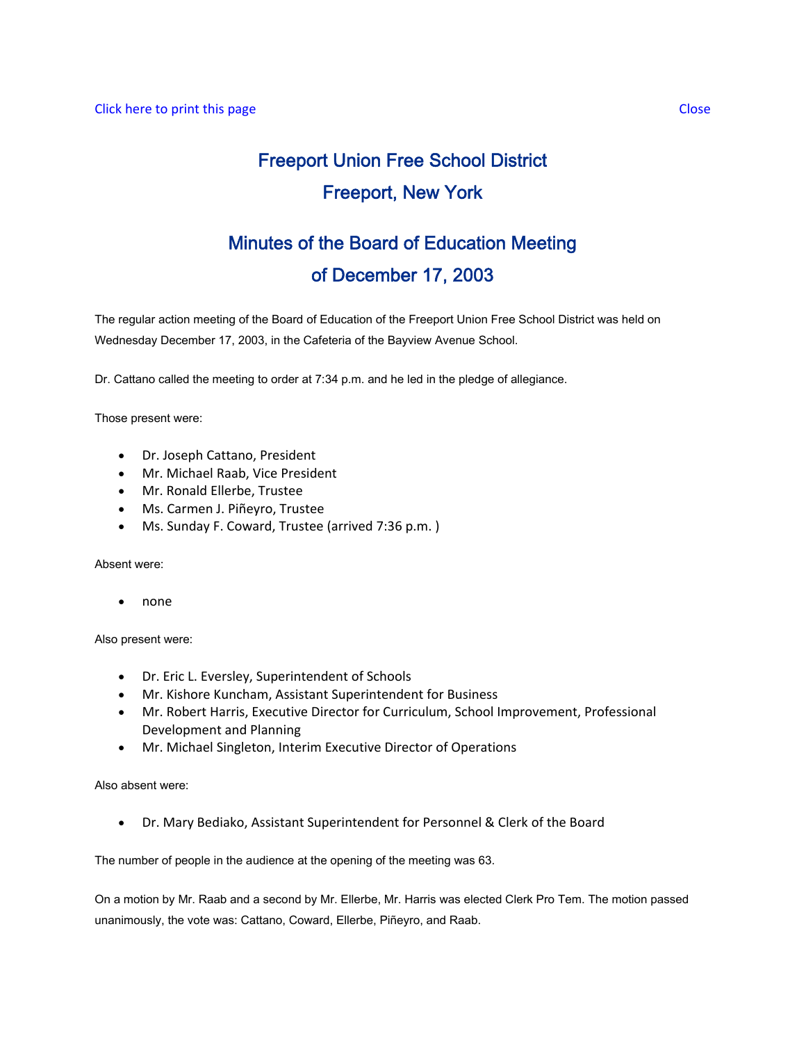# Freeport Union Free School District Freeport, New York

# Minutes of the Board of Education Meeting of December 17, 2003

The regular action meeting of the Board of Education of the Freeport Union Free School District was held on Wednesday December 17, 2003, in the Cafeteria of the Bayview Avenue School.

Dr. Cattano called the meeting to order at 7:34 p.m. and he led in the pledge of allegiance.

Those present were:

- Dr. Joseph Cattano, President
- Mr. Michael Raab, Vice President
- Mr. Ronald Ellerbe, Trustee
- Ms. Carmen J. Piñeyro, Trustee
- Ms. Sunday F. Coward, Trustee (arrived 7:36 p.m. )

Absent were:

• none

Also present were:

- Dr. Eric L. Eversley, Superintendent of Schools
- Mr. Kishore Kuncham, Assistant Superintendent for Business
- Mr. Robert Harris, Executive Director for Curriculum, School Improvement, Professional Development and Planning
- Mr. Michael Singleton, Interim Executive Director of Operations

Also absent were:

• Dr. Mary Bediako, Assistant Superintendent for Personnel & Clerk of the Board

The number of people in the audience at the opening of the meeting was 63.

On a motion by Mr. Raab and a second by Mr. Ellerbe, Mr. Harris was elected Clerk Pro Tem. The motion passed unanimously, the vote was: Cattano, Coward, Ellerbe, Piñeyro, and Raab.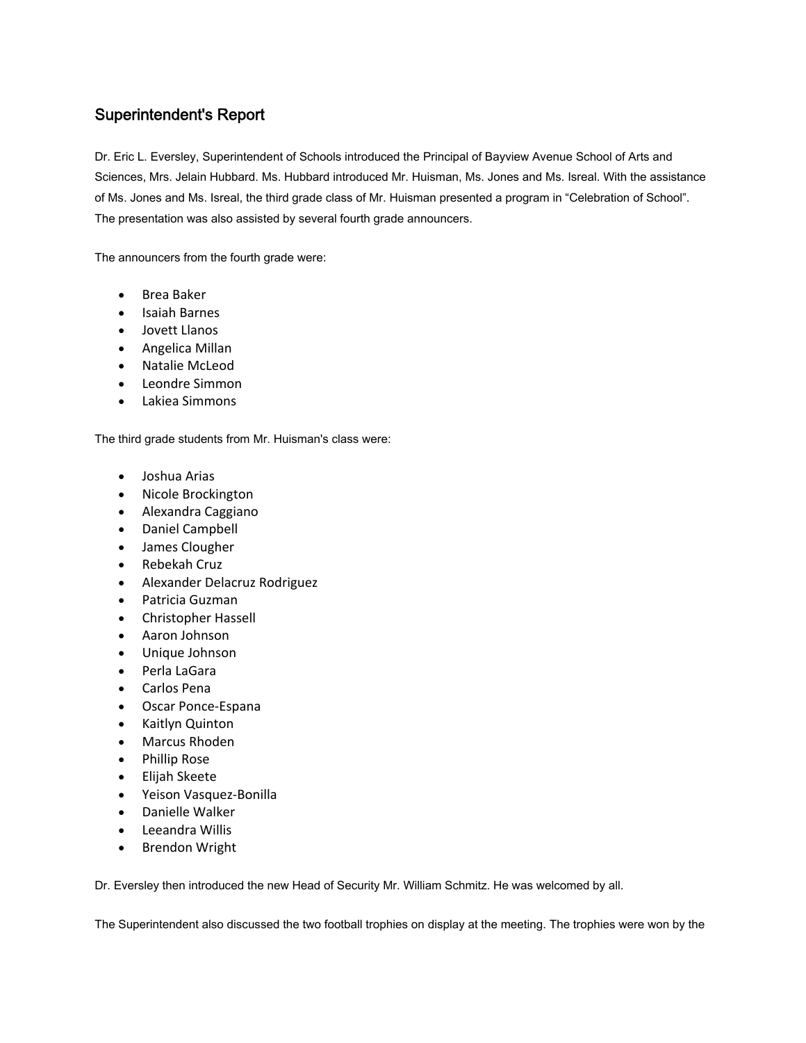# Superintendent's Report

Dr. Eric L. Eversley, Superintendent of Schools introduced the Principal of Bayview Avenue School of Arts and Sciences, Mrs. Jelain Hubbard. Ms. Hubbard introduced Mr. Huisman, Ms. Jones and Ms. Isreal. With the assistance of Ms. Jones and Ms. Isreal, the third grade class of Mr. Huisman presented a program in "Celebration of School". The presentation was also assisted by several fourth grade announcers.

The announcers from the fourth grade were:

- Brea Baker
- Isaiah Barnes
- Jovett Llanos
- Angelica Millan
- Natalie McLeod
- Leondre Simmon
- Lakiea Simmons

The third grade students from Mr. Huisman's class were:

- Joshua Arias
- Nicole Brockington
- Alexandra Caggiano
- Daniel Campbell
- James Clougher
- Rebekah Cruz
- Alexander Delacruz Rodriguez
- Patricia Guzman
- Christopher Hassell
- Aaron Johnson
- Unique Johnson
- Perla LaGara
- Carlos Pena
- Oscar Ponce‐Espana
- Kaitlyn Quinton
- Marcus Rhoden
- Phillip Rose
- Elijah Skeete
- Yeison Vasquez‐Bonilla
- Danielle Walker
- Leeandra Willis
- Brendon Wright

Dr. Eversley then introduced the new Head of Security Mr. William Schmitz. He was welcomed by all.

The Superintendent also discussed the two football trophies on display at the meeting. The trophies were won by the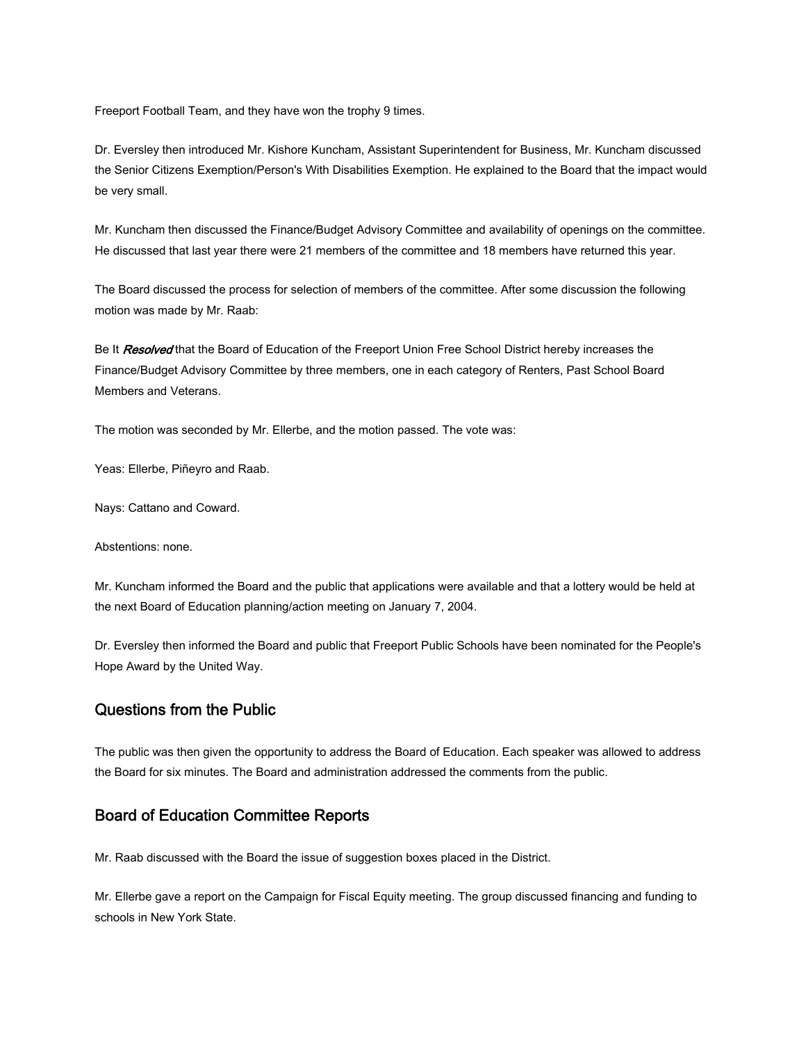Freeport Football Team, and they have won the trophy 9 times.

Dr. Eversley then introduced Mr. Kishore Kuncham, Assistant Superintendent for Business, Mr. Kuncham discussed the Senior Citizens Exemption/Person's With Disabilities Exemption. He explained to the Board that the impact would be very small.

Mr. Kuncham then discussed the Finance/Budget Advisory Committee and availability of openings on the committee. He discussed that last year there were 21 members of the committee and 18 members have returned this year.

The Board discussed the process for selection of members of the committee. After some discussion the following motion was made by Mr. Raab:

Be It Resolved that the Board of Education of the Freeport Union Free School District hereby increases the Finance/Budget Advisory Committee by three members, one in each category of Renters, Past School Board Members and Veterans.

The motion was seconded by Mr. Ellerbe, and the motion passed. The vote was:

Yeas: Ellerbe, Piñeyro and Raab.

Nays: Cattano and Coward.

Abstentions: none.

Mr. Kuncham informed the Board and the public that applications were available and that a lottery would be held at the next Board of Education planning/action meeting on January 7, 2004.

Dr. Eversley then informed the Board and public that Freeport Public Schools have been nominated for the People's Hope Award by the United Way.

## Questions from the Public

The public was then given the opportunity to address the Board of Education. Each speaker was allowed to address the Board for six minutes. The Board and administration addressed the comments from the public.

# Board of Education Committee Reports

Mr. Raab discussed with the Board the issue of suggestion boxes placed in the District.

Mr. Ellerbe gave a report on the Campaign for Fiscal Equity meeting. The group discussed financing and funding to schools in New York State.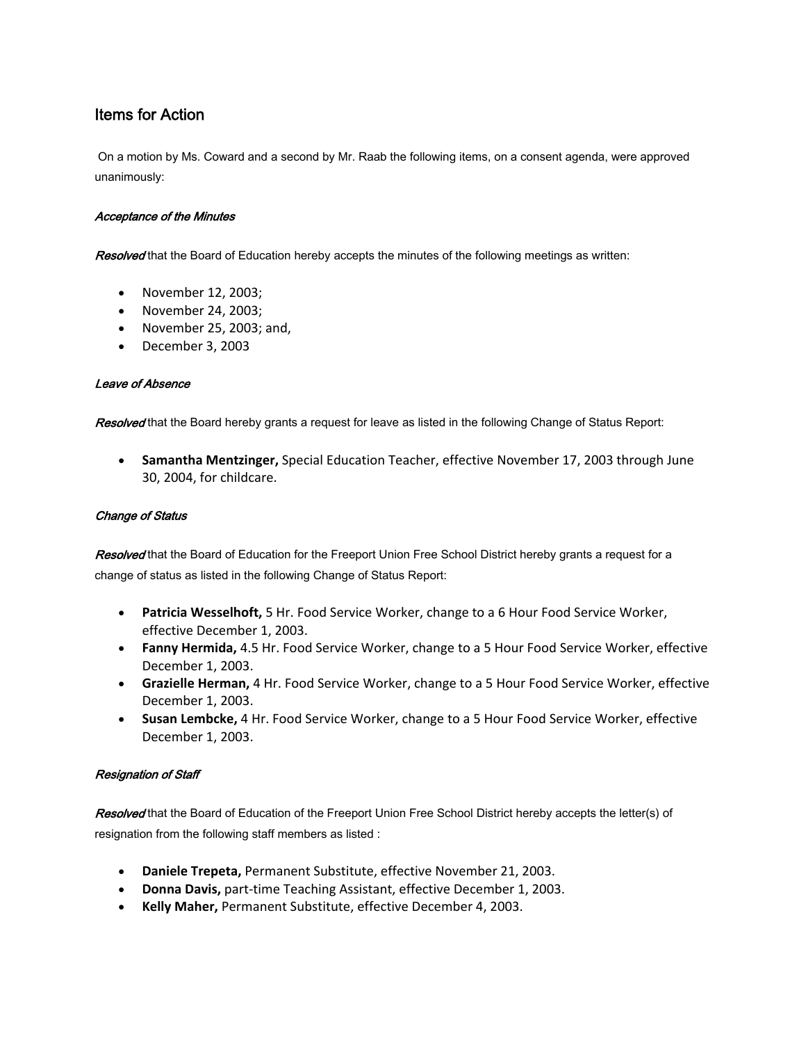# Items for Action

 On a motion by Ms. Coward and a second by Mr. Raab the following items, on a consent agenda, were approved unanimously:

## Acceptance of the Minutes

Resolved that the Board of Education hereby accepts the minutes of the following meetings as written:

- November 12, 2003;
- November 24, 2003;
- November 25, 2003; and,
- December 3, 2003

## Leave of Absence

Resolved that the Board hereby grants a request for leave as listed in the following Change of Status Report:

• **Samantha Mentzinger,** Special Education Teacher, effective November 17, 2003 through June 30, 2004, for childcare.

## Change of Status

Resolved that the Board of Education for the Freeport Union Free School District hereby grants a request for a change of status as listed in the following Change of Status Report:

- **Patricia Wesselhoft,** 5 Hr. Food Service Worker, change to a 6 Hour Food Service Worker, effective December 1, 2003.
- **Fanny Hermida,** 4.5 Hr. Food Service Worker, change to a 5 Hour Food Service Worker, effective December 1, 2003.
- **Grazielle Herman,** 4 Hr. Food Service Worker, change to a 5 Hour Food Service Worker, effective December 1, 2003.
- **Susan Lembcke,** 4 Hr. Food Service Worker, change to a 5 Hour Food Service Worker, effective December 1, 2003.

## Resignation of Staff

Resolved that the Board of Education of the Freeport Union Free School District hereby accepts the letter(s) of resignation from the following staff members as listed :

- **Daniele Trepeta,** Permanent Substitute, effective November 21, 2003.
- **Donna Davis,** part‐time Teaching Assistant, effective December 1, 2003.
- **Kelly Maher,** Permanent Substitute, effective December 4, 2003.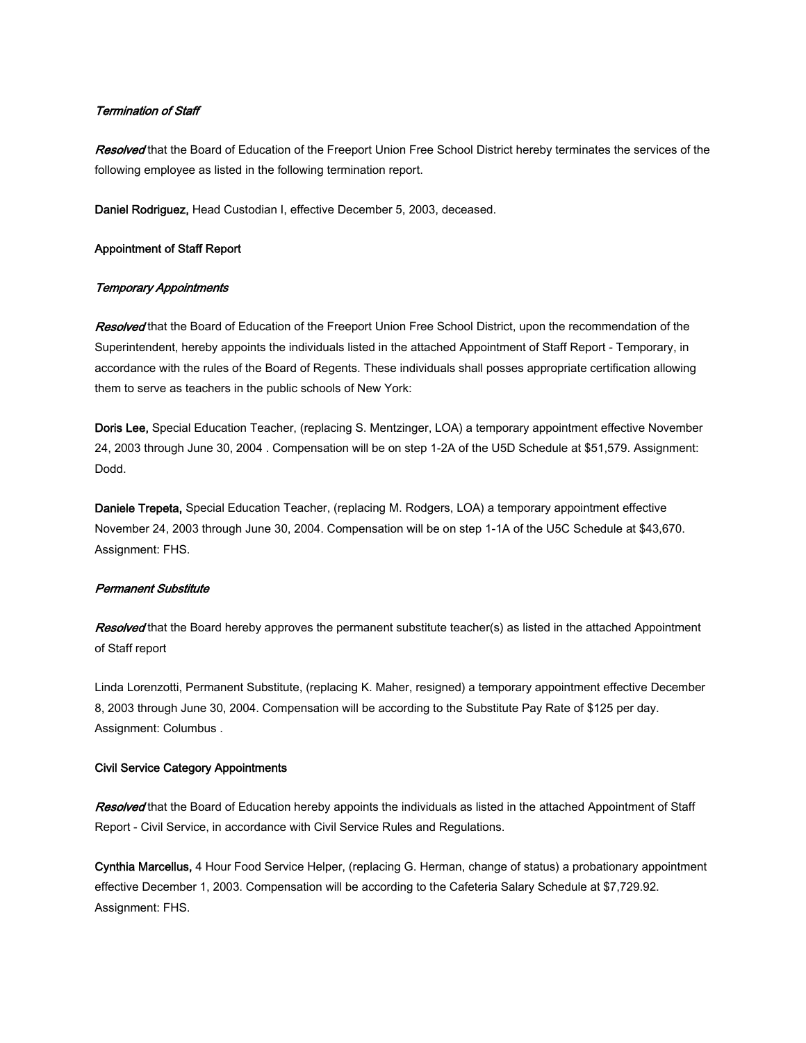#### Termination of Staff

Resolved that the Board of Education of the Freeport Union Free School District hereby terminates the services of the following employee as listed in the following termination report.

Daniel Rodriguez, Head Custodian I, effective December 5, 2003, deceased.

#### Appointment of Staff Report

#### Temporary Appointments

Resolved that the Board of Education of the Freeport Union Free School District, upon the recommendation of the Superintendent, hereby appoints the individuals listed in the attached Appointment of Staff Report - Temporary, in accordance with the rules of the Board of Regents. These individuals shall posses appropriate certification allowing them to serve as teachers in the public schools of New York:

Doris Lee, Special Education Teacher, (replacing S. Mentzinger, LOA) a temporary appointment effective November 24, 2003 through June 30, 2004 . Compensation will be on step 1-2A of the U5D Schedule at \$51,579. Assignment: Dodd.

Daniele Trepeta, Special Education Teacher, (replacing M. Rodgers, LOA) a temporary appointment effective November 24, 2003 through June 30, 2004. Compensation will be on step 1-1A of the U5C Schedule at \$43,670. Assignment: FHS.

#### Permanent Substitute

Resolved that the Board hereby approves the permanent substitute teacher(s) as listed in the attached Appointment of Staff report

Linda Lorenzotti, Permanent Substitute, (replacing K. Maher, resigned) a temporary appointment effective December 8, 2003 through June 30, 2004. Compensation will be according to the Substitute Pay Rate of \$125 per day. Assignment: Columbus .

#### Civil Service Category Appointments

Resolved that the Board of Education hereby appoints the individuals as listed in the attached Appointment of Staff Report - Civil Service, in accordance with Civil Service Rules and Regulations.

Cynthia Marcellus, 4 Hour Food Service Helper, (replacing G. Herman, change of status) a probationary appointment effective December 1, 2003. Compensation will be according to the Cafeteria Salary Schedule at \$7,729.92. Assignment: FHS.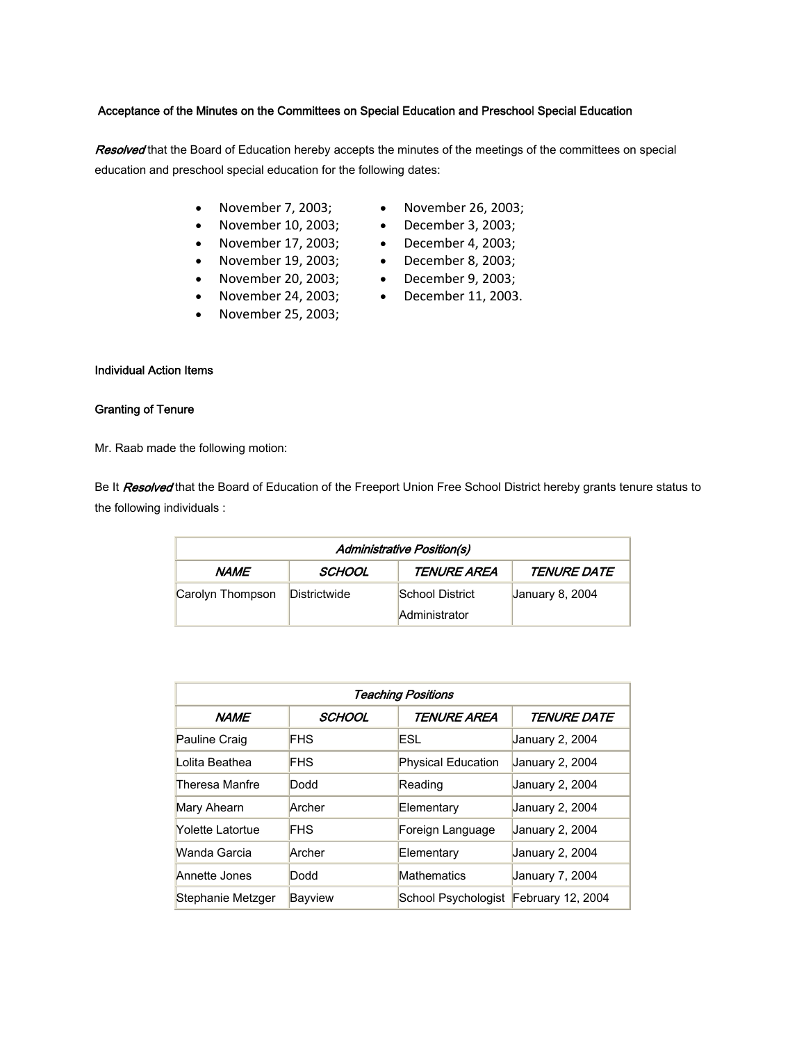#### Acceptance of the Minutes on the Committees on Special Education and Preschool Special Education

Resolved that the Board of Education hereby accepts the minutes of the meetings of the committees on special education and preschool special education for the following dates:

- November 7, 2003;
- November 10, 2003;
- November 17, 2003;
- November 19, 2003;
- November 20, 2003;
- November 24, 2003;
- November 25, 2003;
- Individual Action Items

#### Granting of Tenure

Mr. Raab made the following motion:

Be It Resolved that the Board of Education of the Freeport Union Free School District hereby grants tenure status to the following individuals :

| <b>Administrative Position(s)</b> |              |                           |                           |  |  |
|-----------------------------------|--------------|---------------------------|---------------------------|--|--|
| NAME                              | SCHOOL       | <i><b>TENURE AREA</b></i> | <i><b>TENURE DATE</b></i> |  |  |
| Carolyn Thompson                  | Districtwide | School District           | January 8, 2004           |  |  |
|                                   |              | Administrator             |                           |  |  |

| <b>Teaching Positions</b> |            |                           |                           |  |  |
|---------------------------|------------|---------------------------|---------------------------|--|--|
| <b>NAME</b>               | SCHOOL     | TENURE AREA               | <i><b>TENURE DATE</b></i> |  |  |
| Pauline Craig             | <b>FHS</b> | ESL                       | January 2, 2004           |  |  |
| Lolita Beathea            | <b>FHS</b> | <b>Physical Education</b> | January 2, 2004           |  |  |
| Theresa Manfre            | Dodd       | Reading                   | January 2, 2004           |  |  |
| Mary Ahearn               | Archer     | Elementary                | January 2, 2004           |  |  |
| <b>Yolette Latortue</b>   | <b>FHS</b> | Foreign Language          | January 2, 2004           |  |  |
| Wanda Garcia              | Archer     | Elementary                | January 2, 2004           |  |  |
| Annette Jones             | Dodd       | Mathematics               | January 7, 2004           |  |  |
| Stephanie Metzger         | Bayview    | School Psychologist       | February 12, 2004         |  |  |

- November 26, 2003;
- December 3, 2003;
- December 4, 2003;
- December 8, 2003;
- December 9, 2003;
- December 11, 2003.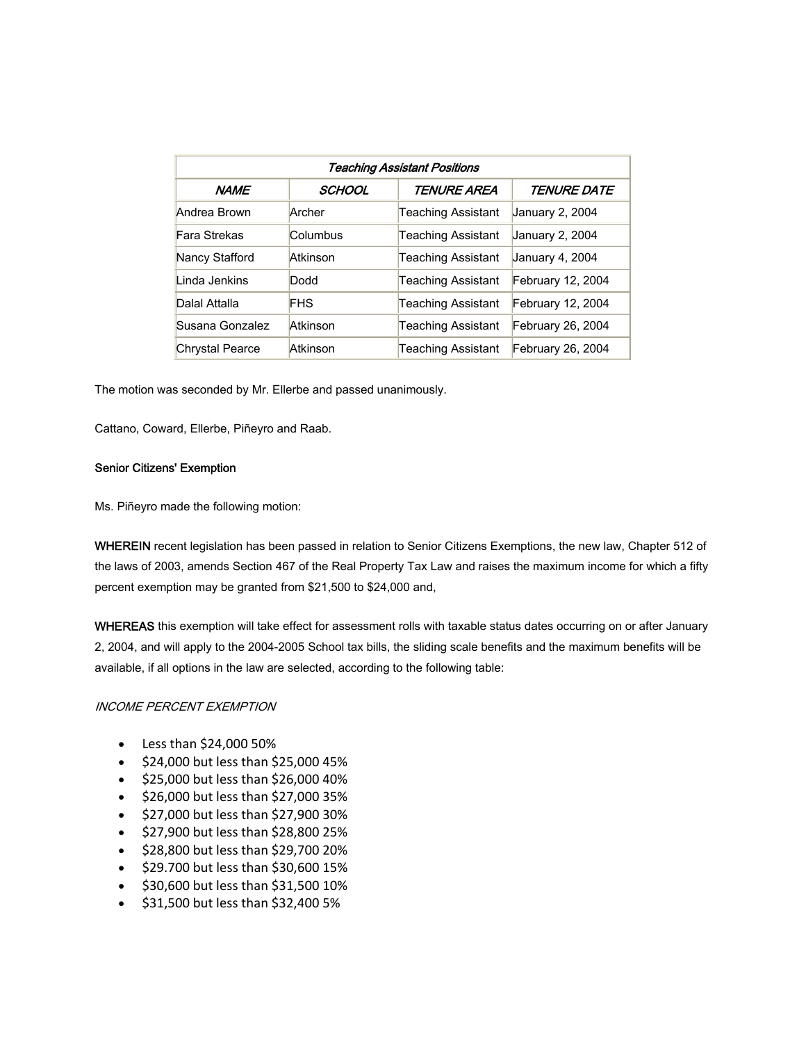| Teaching Assistant Positions |            |                           |                           |  |  |
|------------------------------|------------|---------------------------|---------------------------|--|--|
| <b>NAME</b>                  | SCHOOL     | <b>TENURE AREA</b>        | <i><b>TENURE DATE</b></i> |  |  |
| Andrea Brown                 | Archer     | Teaching Assistant        | January 2, 2004           |  |  |
| Fara Strekas                 | Columbus   | Teaching Assistant        | January 2, 2004           |  |  |
| Nancy Stafford               | Atkinson   | <b>Teaching Assistant</b> | January 4, 2004           |  |  |
| Linda Jenkins                | Dodd       | Teaching Assistant        | February 12, 2004         |  |  |
| Dalal Attalla                | <b>FHS</b> | <b>Teaching Assistant</b> | February 12, 2004         |  |  |
| Susana Gonzalez              | Atkinson   | Teaching Assistant        | February 26, 2004         |  |  |
| <b>Chrystal Pearce</b>       | Atkinson   | Teaching Assistant        | February 26, 2004         |  |  |

The motion was seconded by Mr. Ellerbe and passed unanimously.

Cattano, Coward, Ellerbe, Piñeyro and Raab.

#### Senior Citizens' Exemption

Ms. Piñeyro made the following motion:

WHEREIN recent legislation has been passed in relation to Senior Citizens Exemptions, the new law, Chapter 512 of the laws of 2003, amends Section 467 of the Real Property Tax Law and raises the maximum income for which a fifty percent exemption may be granted from \$21,500 to \$24,000 and,

WHEREAS this exemption will take effect for assessment rolls with taxable status dates occurring on or after January 2, 2004, and will apply to the 2004-2005 School tax bills, the sliding scale benefits and the maximum benefits will be available, if all options in the law are selected, according to the following table:

#### INCOME PERCENT EXEMPTION

- Less than \$24,000 50%
- \$24,000 but less than \$25,000 45%
- \$25,000 but less than \$26,000 40%
- \$26,000 but less than \$27,000 35%
- \$27,000 but less than \$27,900 30%
- \$27,900 but less than \$28,800 25%
- \$28,800 but less than \$29,700 20%
- \$29.700 but less than \$30,600 15%
- \$30,600 but less than \$31,500 10%
- \$31,500 but less than \$32,400 5%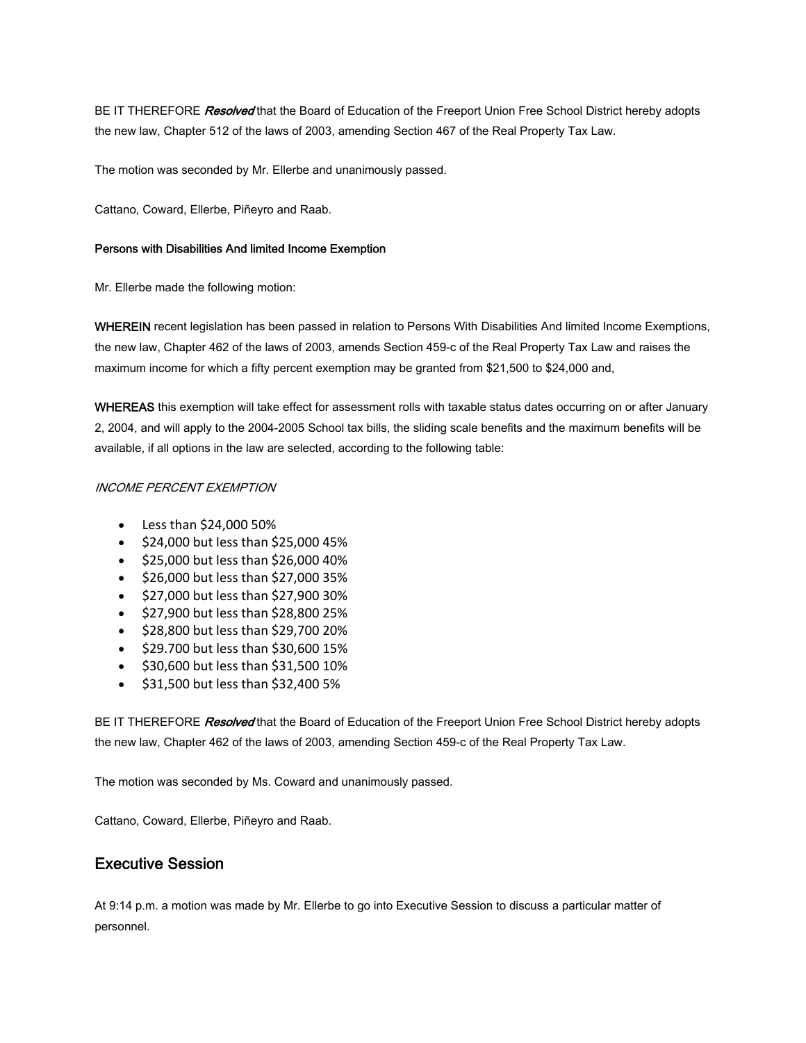BE IT THEREFORE Resolved that the Board of Education of the Freeport Union Free School District hereby adopts the new law, Chapter 512 of the laws of 2003, amending Section 467 of the Real Property Tax Law.

The motion was seconded by Mr. Ellerbe and unanimously passed.

Cattano, Coward, Ellerbe, Piñeyro and Raab.

### Persons with Disabilities And limited Income Exemption

Mr. Ellerbe made the following motion:

WHEREIN recent legislation has been passed in relation to Persons With Disabilities And limited Income Exemptions, the new law, Chapter 462 of the laws of 2003, amends Section 459-c of the Real Property Tax Law and raises the maximum income for which a fifty percent exemption may be granted from \$21,500 to \$24,000 and,

WHEREAS this exemption will take effect for assessment rolls with taxable status dates occurring on or after January 2, 2004, and will apply to the 2004-2005 School tax bills, the sliding scale benefits and the maximum benefits will be available, if all options in the law are selected, according to the following table:

### INCOME PERCENT EXEMPTION

- Less than \$24,000 50%
- \$24,000 but less than \$25,000 45%
- \$25,000 but less than \$26,000 40%
- \$26,000 but less than \$27,000 35%
- \$27,000 but less than \$27,900 30%
- \$27,900 but less than \$28,800 25%
- \$28,800 but less than \$29,700 20%
- \$29.700 but less than \$30,600 15%
- \$30,600 but less than \$31,500 10%
- \$31,500 but less than \$32,400 5%

BE IT THEREFORE Resolved that the Board of Education of the Freeport Union Free School District hereby adopts the new law, Chapter 462 of the laws of 2003, amending Section 459-c of the Real Property Tax Law.

The motion was seconded by Ms. Coward and unanimously passed.

Cattano, Coward, Ellerbe, Piñeyro and Raab.

# Executive Session

At 9:14 p.m. a motion was made by Mr. Ellerbe to go into Executive Session to discuss a particular matter of personnel.